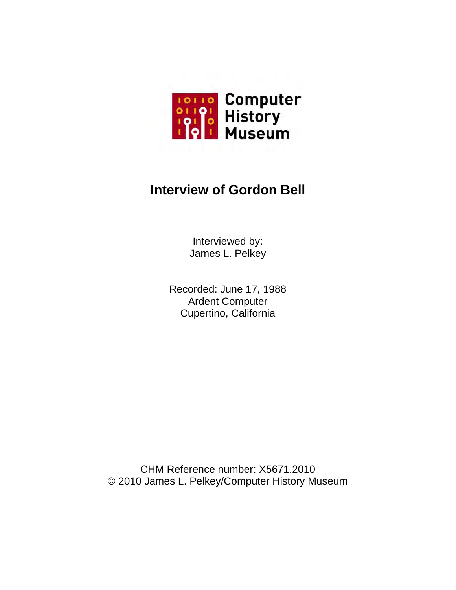

# **Interview of Gordon Bell**

Interviewed by: James L. Pelkey

Recorded: June 17, 1988 Ardent Computer Cupertino, California

CHM Reference number: X5671.2010 © 2010 James L. Pelkey/Computer History Museum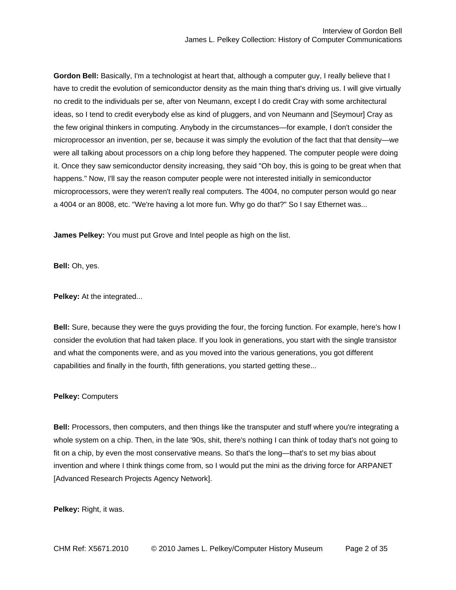**Gordon Bell:** Basically, I'm a technologist at heart that, although a computer guy, I really believe that I have to credit the evolution of semiconductor density as the main thing that's driving us. I will give virtually no credit to the individuals per se, after von Neumann, except I do credit Cray with some architectural ideas, so I tend to credit everybody else as kind of pluggers, and von Neumann and [Seymour] Cray as the few original thinkers in computing. Anybody in the circumstances—for example, I don't consider the microprocessor an invention, per se, because it was simply the evolution of the fact that that density—we were all talking about processors on a chip long before they happened. The computer people were doing it. Once they saw semiconductor density increasing, they said "Oh boy, this is going to be great when that happens." Now, I'll say the reason computer people were not interested initially in semiconductor microprocessors, were they weren't really real computers. The 4004, no computer person would go near a 4004 or an 8008, etc. "We're having a lot more fun. Why go do that?" So I say Ethernet was...

**James Pelkey:** You must put Grove and Intel people as high on the list.

**Bell:** Oh, yes.

**Pelkey:** At the integrated...

**Bell:** Sure, because they were the guys providing the four, the forcing function. For example, here's how I consider the evolution that had taken place. If you look in generations, you start with the single transistor and what the components were, and as you moved into the various generations, you got different capabilities and finally in the fourth, fifth generations, you started getting these...

### **Pelkey:** Computers

**Bell:** Processors, then computers, and then things like the transputer and stuff where you're integrating a whole system on a chip. Then, in the late '90s, shit, there's nothing I can think of today that's not going to fit on a chip, by even the most conservative means. So that's the long—that's to set my bias about invention and where I think things come from, so I would put the mini as the driving force for ARPANET [Advanced Research Projects Agency Network].

**Pelkey:** Right, it was.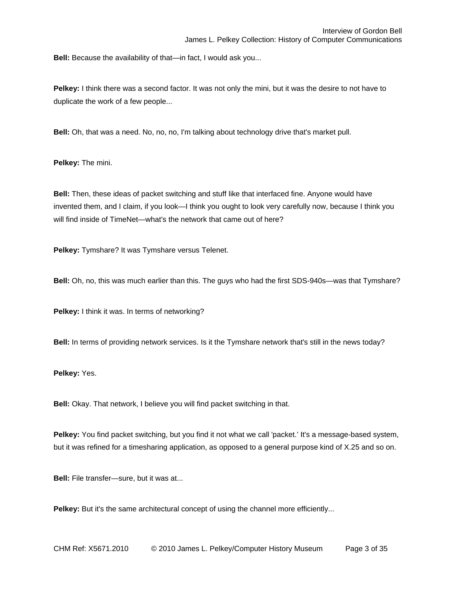**Bell:** Because the availability of that—in fact, I would ask you...

**Pelkey:** I think there was a second factor. It was not only the mini, but it was the desire to not have to duplicate the work of a few people...

**Bell:** Oh, that was a need. No, no, no, I'm talking about technology drive that's market pull.

**Pelkey:** The mini.

**Bell:** Then, these ideas of packet switching and stuff like that interfaced fine. Anyone would have invented them, and I claim, if you look—I think you ought to look very carefully now, because I think you will find inside of TimeNet—what's the network that came out of here?

**Pelkey:** Tymshare? It was Tymshare versus Telenet.

**Bell:** Oh, no, this was much earlier than this. The guys who had the first SDS-940s—was that Tymshare?

**Pelkey:** I think it was. In terms of networking?

**Bell:** In terms of providing network services. Is it the Tymshare network that's still in the news today?

**Pelkey:** Yes.

**Bell:** Okay. That network, I believe you will find packet switching in that.

**Pelkey:** You find packet switching, but you find it not what we call 'packet.' It's a message-based system, but it was refined for a timesharing application, as opposed to a general purpose kind of X.25 and so on.

**Bell:** File transfer—sure, but it was at...

**Pelkey:** But it's the same architectural concept of using the channel more efficiently...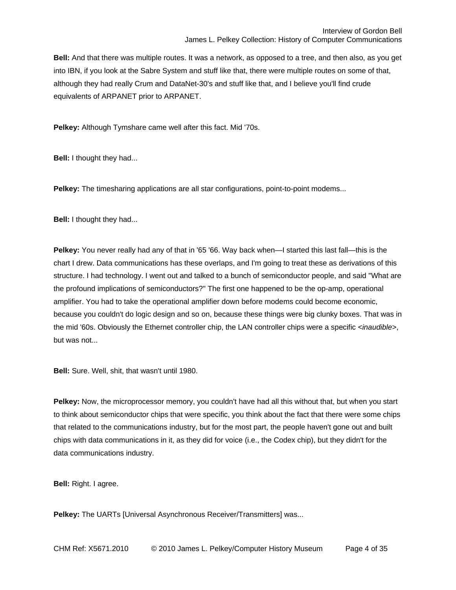**Bell:** And that there was multiple routes. It was a network, as opposed to a tree, and then also, as you get into IBN, if you look at the Sabre System and stuff like that, there were multiple routes on some of that, although they had really Crum and DataNet-30's and stuff like that, and I believe you'll find crude equivalents of ARPANET prior to ARPANET.

**Pelkey:** Although Tymshare came well after this fact. Mid '70s.

**Bell:** I thought they had...

**Pelkey:** The timesharing applications are all star configurations, point-to-point modems...

**Bell:** I thought they had...

**Pelkey:** You never really had any of that in '65 '66. Way back when—I started this last fall—this is the chart I drew. Data communications has these overlaps, and I'm going to treat these as derivations of this structure. I had technology. I went out and talked to a bunch of semiconductor people, and said "What are the profound implications of semiconductors?" The first one happened to be the op-amp, operational amplifier. You had to take the operational amplifier down before modems could become economic, because you couldn't do logic design and so on, because these things were big clunky boxes. That was in the mid '60s. Obviously the Ethernet controller chip, the LAN controller chips were a specific *<inaudible>*, but was not...

**Bell:** Sure. Well, shit, that wasn't until 1980.

**Pelkey:** Now, the microprocessor memory, you couldn't have had all this without that, but when you start to think about semiconductor chips that were specific, you think about the fact that there were some chips that related to the communications industry, but for the most part, the people haven't gone out and built chips with data communications in it, as they did for voice (i.e., the Codex chip), but they didn't for the data communications industry.

**Bell:** Right. I agree.

**Pelkey:** The UARTs [Universal Asynchronous Receiver/Transmitters] was...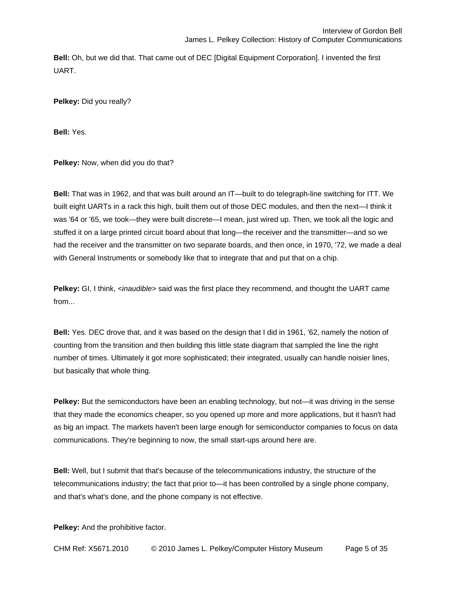**Bell:** Oh, but we did that. That came out of DEC [Digital Equipment Corporation]. I invented the first UART.

**Pelkey:** Did you really?

**Bell:** Yes.

**Pelkey:** Now, when did you do that?

**Bell:** That was in 1962, and that was built around an IT—built to do telegraph-line switching for ITT. We built eight UARTs in a rack this high, built them out of those DEC modules, and then the next—I think it was '64 or '65, we took—they were built discrete—I mean, just wired up. Then, we took all the logic and stuffed it on a large printed circuit board about that long—the receiver and the transmitter—and so we had the receiver and the transmitter on two separate boards, and then once, in 1970, '72, we made a deal with General Instruments or somebody like that to integrate that and put that on a chip.

**Pelkey:** GI, I think, *<inaudible>* said was the first place they recommend, and thought the UART came from...

**Bell:** Yes. DEC drove that, and it was based on the design that I did in 1961, '62, namely the notion of counting from the transition and then building this little state diagram that sampled the line the right number of times. Ultimately it got more sophisticated; their integrated, usually can handle noisier lines, but basically that whole thing.

**Pelkey:** But the semiconductors have been an enabling technology, but not—it was driving in the sense that they made the economics cheaper, so you opened up more and more applications, but it hasn't had as big an impact. The markets haven't been large enough for semiconductor companies to focus on data communications. They're beginning to now, the small start-ups around here are.

**Bell:** Well, but I submit that that's because of the telecommunications industry, the structure of the telecommunications industry; the fact that prior to—it has been controlled by a single phone company, and that's what's done, and the phone company is not effective.

**Pelkey:** And the prohibitive factor.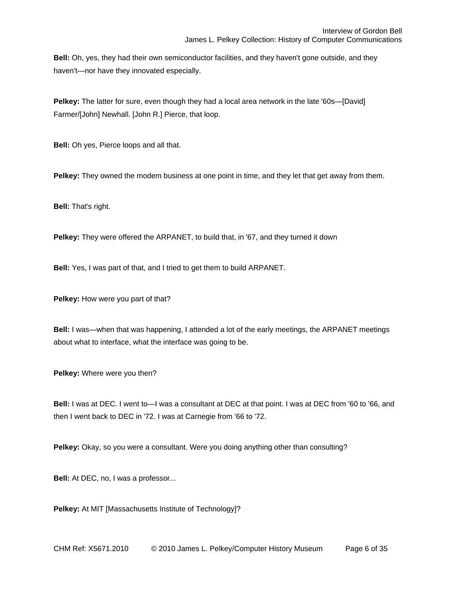**Bell:** Oh, yes, they had their own semiconductor facilities, and they haven't gone outside, and they haven't—nor have they innovated especially.

**Pelkey:** The latter for sure, even though they had a local area network in the late '60s—[David] Farmer/[John] Newhall. [John R.] Pierce, that loop.

**Bell:** Oh yes, Pierce loops and all that.

**Pelkey:** They owned the modem business at one point in time, and they let that get away from them.

**Bell:** That's right.

**Pelkey:** They were offered the ARPANET, to build that, in '67, and they turned it down

**Bell:** Yes, I was part of that, and I tried to get them to build ARPANET.

**Pelkey:** How were you part of that?

**Bell:** I was—when that was happening, I attended a lot of the early meetings, the ARPANET meetings about what to interface, what the interface was going to be.

**Pelkey:** Where were you then?

**Bell:** I was at DEC. I went to—I was a consultant at DEC at that point. I was at DEC from '60 to '66, and then I went back to DEC in '72. I was at Carnegie from '66 to '72.

**Pelkey:** Okay, so you were a consultant. Were you doing anything other than consulting?

**Bell:** At DEC, no, I was a professor...

**Pelkey:** At MIT [Massachusetts Institute of Technology]?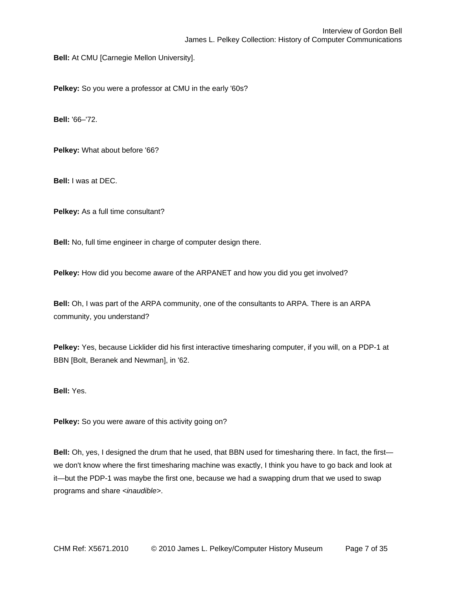**Bell:** At CMU [Carnegie Mellon University].

**Pelkey:** So you were a professor at CMU in the early '60s?

**Bell:** '66–'72.

**Pelkey:** What about before '66?

**Bell:** I was at DEC.

**Pelkey:** As a full time consultant?

**Bell:** No, full time engineer in charge of computer design there.

**Pelkey:** How did you become aware of the ARPANET and how you did you get involved?

**Bell:** Oh, I was part of the ARPA community, one of the consultants to ARPA. There is an ARPA community, you understand?

**Pelkey:** Yes, because Licklider did his first interactive timesharing computer, if you will, on a PDP-1 at BBN [Bolt, Beranek and Newman], in '62.

**Bell:** Yes.

**Pelkey:** So you were aware of this activity going on?

**Bell:** Oh, yes, I designed the drum that he used, that BBN used for timesharing there. In fact, the first we don't know where the first timesharing machine was exactly, I think you have to go back and look at it—but the PDP-1 was maybe the first one, because we had a swapping drum that we used to swap programs and share *<inaudible>*.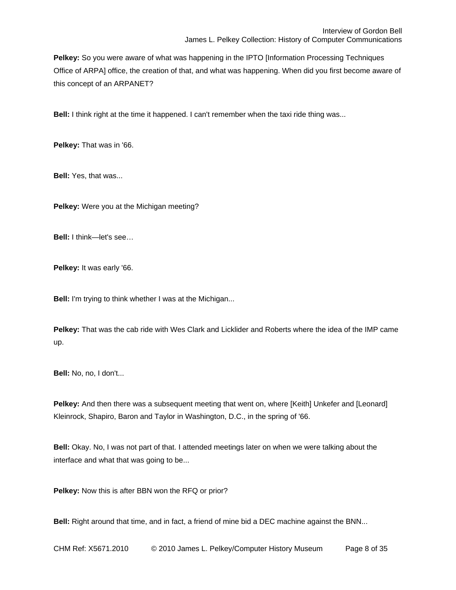**Pelkey:** So you were aware of what was happening in the IPTO [Information Processing Techniques Office of ARPA] office, the creation of that, and what was happening. When did you first become aware of this concept of an ARPANET?

**Bell:** I think right at the time it happened. I can't remember when the taxi ride thing was...

**Pelkey:** That was in '66.

**Bell:** Yes, that was...

**Pelkey:** Were you at the Michigan meeting?

**Bell:** I think—let's see…

**Pelkey:** It was early '66.

**Bell:** I'm trying to think whether I was at the Michigan...

**Pelkey:** That was the cab ride with Wes Clark and Licklider and Roberts where the idea of the IMP came up.

**Bell:** No, no, I don't...

**Pelkey:** And then there was a subsequent meeting that went on, where [Keith] Unkefer and [Leonard] Kleinrock, Shapiro, Baron and Taylor in Washington, D.C., in the spring of '66.

**Bell:** Okay. No, I was not part of that. I attended meetings later on when we were talking about the interface and what that was going to be...

**Pelkey:** Now this is after BBN won the RFQ or prior?

**Bell:** Right around that time, and in fact, a friend of mine bid a DEC machine against the BNN...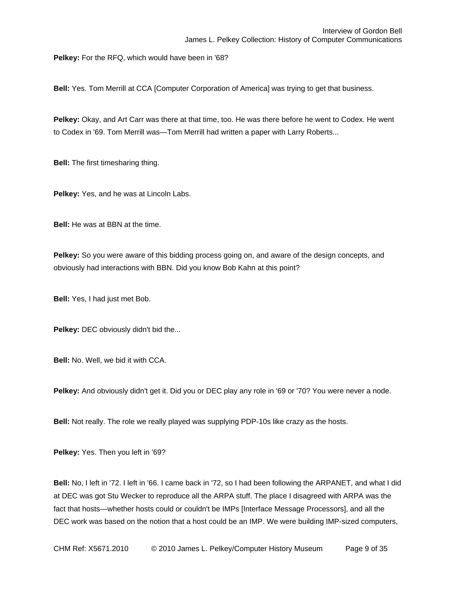**Pelkey:** For the RFQ, which would have been in '68?

**Bell:** Yes. Tom Merrill at CCA [Computer Corporation of America] was trying to get that business.

**Pelkey:** Okay, and Art Carr was there at that time, too. He was there before he went to Codex. He went to Codex in '69. Tom Merrill was—Tom Merrill had written a paper with Larry Roberts...

**Bell:** The first timesharing thing.

**Pelkey:** Yes, and he was at Lincoln Labs.

**Bell:** He was at BBN at the time.

**Pelkey:** So you were aware of this bidding process going on, and aware of the design concepts, and obviously had interactions with BBN. Did you know Bob Kahn at this point?

**Bell:** Yes, I had just met Bob.

**Pelkey:** DEC obviously didn't bid the...

**Bell:** No. Well, we bid it with CCA.

**Pelkey:** And obviously didn't get it. Did you or DEC play any role in '69 or '70? You were never a node.

**Bell:** Not really. The role we really played was supplying PDP-10s like crazy as the hosts.

**Pelkey:** Yes. Then you left in '69?

**Bell:** No, I left in '72. I left in '66. I came back in '72, so I had been following the ARPANET, and what I did at DEC was got Stu Wecker to reproduce all the ARPA stuff. The place I disagreed with ARPA was the fact that hosts—whether hosts could or couldn't be IMPs [Interface Message Processors], and all the DEC work was based on the notion that a host could be an IMP. We were building IMP-sized computers,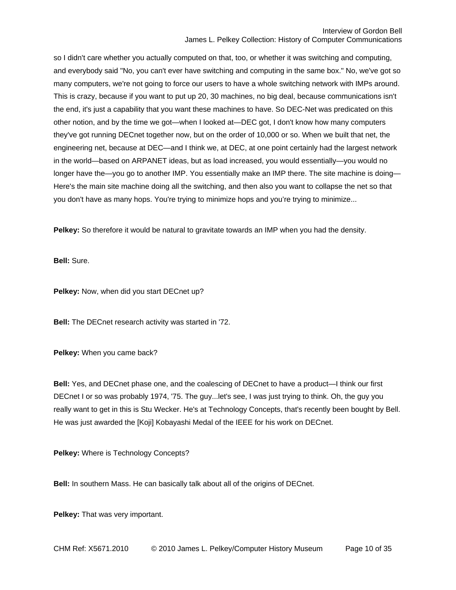so I didn't care whether you actually computed on that, too, or whether it was switching and computing, and everybody said "No, you can't ever have switching and computing in the same box." No, we've got so many computers, we're not going to force our users to have a whole switching network with IMPs around. This is crazy, because if you want to put up 20, 30 machines, no big deal, because communications isn't the end, it's just a capability that you want these machines to have. So DEC-Net was predicated on this other notion, and by the time we got—when I looked at—DEC got, I don't know how many computers they've got running DECnet together now, but on the order of 10,000 or so. When we built that net, the engineering net, because at DEC—and I think we, at DEC, at one point certainly had the largest network in the world—based on ARPANET ideas, but as load increased, you would essentially—you would no longer have the—you go to another IMP. You essentially make an IMP there. The site machine is doing— Here's the main site machine doing all the switching, and then also you want to collapse the net so that you don't have as many hops. You're trying to minimize hops and you're trying to minimize...

**Pelkey:** So therefore it would be natural to gravitate towards an IMP when you had the density.

**Bell:** Sure.

**Pelkey:** Now, when did you start DECnet up?

**Bell:** The DECnet research activity was started in '72.

**Pelkey:** When you came back?

**Bell:** Yes, and DECnet phase one, and the coalescing of DECnet to have a product—I think our first DECnet I or so was probably 1974, '75. The guy...let's see, I was just trying to think. Oh, the guy you really want to get in this is Stu Wecker. He's at Technology Concepts, that's recently been bought by Bell. He was just awarded the [Koji] Kobayashi Medal of the IEEE for his work on DECnet.

**Pelkey:** Where is Technology Concepts?

**Bell:** In southern Mass. He can basically talk about all of the origins of DECnet.

**Pelkey:** That was very important.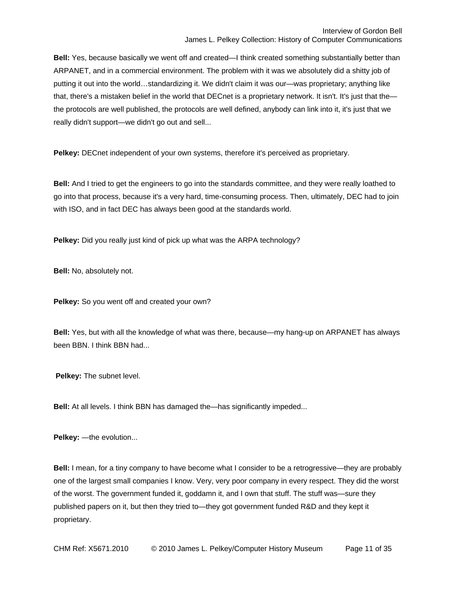**Bell:** Yes, because basically we went off and created—I think created something substantially better than ARPANET, and in a commercial environment. The problem with it was we absolutely did a shitty job of putting it out into the world…standardizing it. We didn't claim it was our—was proprietary; anything like that, there's a mistaken belief in the world that DECnet is a proprietary network. It isn't. It's just that the the protocols are well published, the protocols are well defined, anybody can link into it, it's just that we really didn't support—we didn't go out and sell...

**Pelkey:** DECnet independent of your own systems, therefore it's perceived as proprietary.

**Bell:** And I tried to get the engineers to go into the standards committee, and they were really loathed to go into that process, because it's a very hard, time-consuming process. Then, ultimately, DEC had to join with ISO, and in fact DEC has always been good at the standards world.

**Pelkey:** Did you really just kind of pick up what was the ARPA technology?

**Bell:** No, absolutely not.

**Pelkey:** So you went off and created your own?

**Bell:** Yes, but with all the knowledge of what was there, because—my hang-up on ARPANET has always been BBN. I think BBN had...

**Pelkey:** The subnet level.

**Bell:** At all levels. I think BBN has damaged the—has significantly impeded...

**Pelkey:** —the evolution...

**Bell:** I mean, for a tiny company to have become what I consider to be a retrogressive—they are probably one of the largest small companies I know. Very, very poor company in every respect. They did the worst of the worst. The government funded it, goddamn it, and I own that stuff. The stuff was—sure they published papers on it, but then they tried to—they got government funded R&D and they kept it proprietary.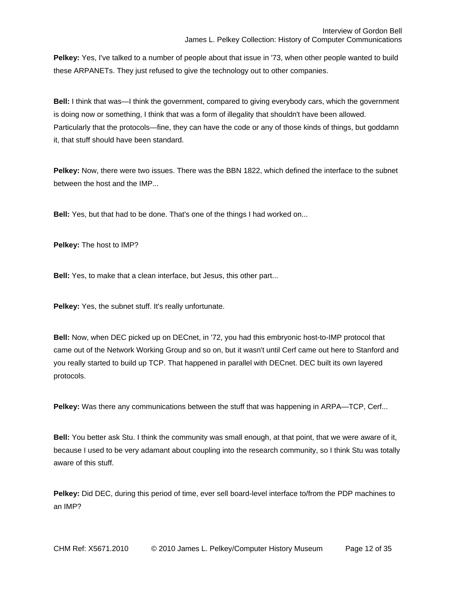Pelkey: Yes, I've talked to a number of people about that issue in '73, when other people wanted to build these ARPANETs. They just refused to give the technology out to other companies.

**Bell:** I think that was—I think the government, compared to giving everybody cars, which the government is doing now or something, I think that was a form of illegality that shouldn't have been allowed. Particularly that the protocols—fine, they can have the code or any of those kinds of things, but goddamn it, that stuff should have been standard.

**Pelkey:** Now, there were two issues. There was the BBN 1822, which defined the interface to the subnet between the host and the IMP...

**Bell:** Yes, but that had to be done. That's one of the things I had worked on...

**Pelkey:** The host to IMP?

**Bell:** Yes, to make that a clean interface, but Jesus, this other part...

**Pelkey:** Yes, the subnet stuff. It's really unfortunate.

**Bell:** Now, when DEC picked up on DECnet, in '72, you had this embryonic host-to-IMP protocol that came out of the Network Working Group and so on, but it wasn't until Cerf came out here to Stanford and you really started to build up TCP. That happened in parallel with DECnet. DEC built its own layered protocols.

**Pelkey:** Was there any communications between the stuff that was happening in ARPA—TCP, Cerf...

**Bell:** You better ask Stu. I think the community was small enough, at that point, that we were aware of it, because I used to be very adamant about coupling into the research community, so I think Stu was totally aware of this stuff.

**Pelkey:** Did DEC, during this period of time, ever sell board-level interface to/from the PDP machines to an IMP?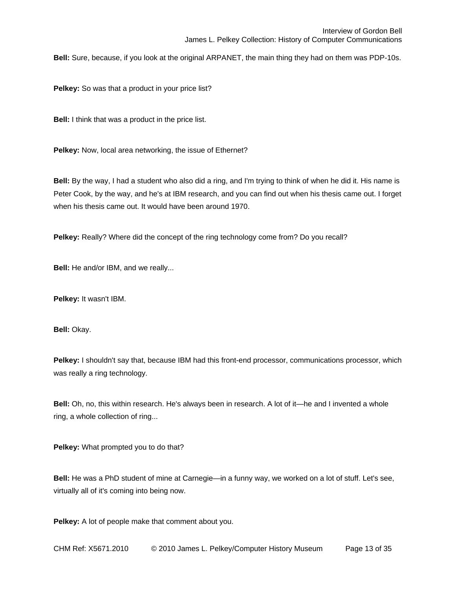**Bell:** Sure, because, if you look at the original ARPANET, the main thing they had on them was PDP-10s.

**Pelkey:** So was that a product in your price list?

**Bell:** I think that was a product in the price list.

**Pelkey:** Now, local area networking, the issue of Ethernet?

**Bell:** By the way, I had a student who also did a ring, and I'm trying to think of when he did it. His name is Peter Cook, by the way, and he's at IBM research, and you can find out when his thesis came out. I forget when his thesis came out. It would have been around 1970.

**Pelkey:** Really? Where did the concept of the ring technology come from? Do you recall?

**Bell:** He and/or IBM, and we really...

**Pelkey:** It wasn't IBM.

**Bell:** Okay.

**Pelkey:** I shouldn't say that, because IBM had this front-end processor, communications processor, which was really a ring technology.

**Bell:** Oh, no, this within research. He's always been in research. A lot of it—he and I invented a whole ring, a whole collection of ring...

**Pelkey:** What prompted you to do that?

**Bell:** He was a PhD student of mine at Carnegie—in a funny way, we worked on a lot of stuff. Let's see, virtually all of it's coming into being now.

**Pelkey:** A lot of people make that comment about you.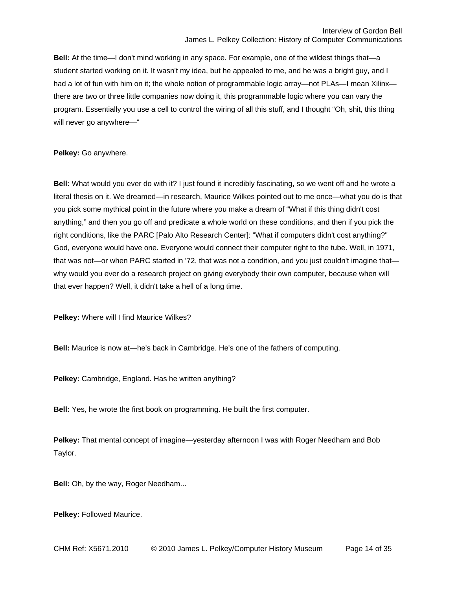**Bell:** At the time—I don't mind working in any space. For example, one of the wildest things that—a student started working on it. It wasn't my idea, but he appealed to me, and he was a bright guy, and I had a lot of fun with him on it; the whole notion of programmable logic array—not PLAs—I mean Xilinx there are two or three little companies now doing it, this programmable logic where you can vary the program. Essentially you use a cell to control the wiring of all this stuff, and I thought "Oh, shit, this thing will never go anywhere—"

**Pelkey:** Go anywhere.

**Bell:** What would you ever do with it? I just found it incredibly fascinating, so we went off and he wrote a literal thesis on it. We dreamed—in research, Maurice Wilkes pointed out to me once—what you do is that you pick some mythical point in the future where you make a dream of "What if this thing didn't cost anything," and then you go off and predicate a whole world on these conditions, and then if you pick the right conditions, like the PARC [Palo Alto Research Center]: "What if computers didn't cost anything?" God, everyone would have one. Everyone would connect their computer right to the tube. Well, in 1971, that was not—or when PARC started in '72, that was not a condition, and you just couldn't imagine that why would you ever do a research project on giving everybody their own computer, because when will that ever happen? Well, it didn't take a hell of a long time.

**Pelkey:** Where will I find Maurice Wilkes?

**Bell:** Maurice is now at—he's back in Cambridge. He's one of the fathers of computing.

**Pelkey:** Cambridge, England. Has he written anything?

**Bell:** Yes, he wrote the first book on programming. He built the first computer.

**Pelkey:** That mental concept of imagine—yesterday afternoon I was with Roger Needham and Bob Taylor.

**Bell:** Oh, by the way, Roger Needham...

**Pelkey:** Followed Maurice.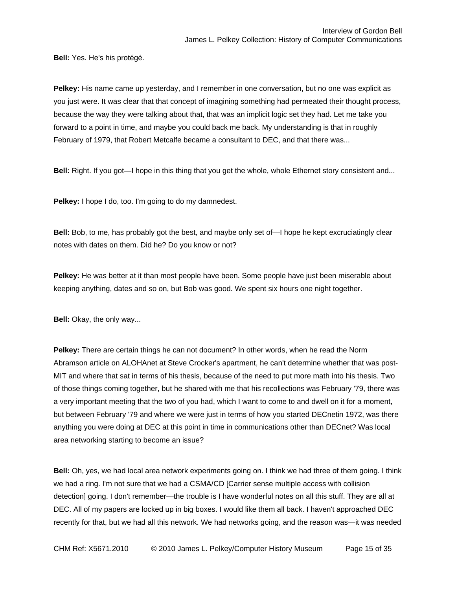**Bell:** Yes. He's his protégé.

**Pelkey:** His name came up yesterday, and I remember in one conversation, but no one was explicit as you just were. It was clear that that concept of imagining something had permeated their thought process, because the way they were talking about that, that was an implicit logic set they had. Let me take you forward to a point in time, and maybe you could back me back. My understanding is that in roughly February of 1979, that Robert Metcalfe became a consultant to DEC, and that there was...

**Bell:** Right. If you got—I hope in this thing that you get the whole, whole Ethernet story consistent and...

**Pelkey:** I hope I do, too. I'm going to do my damnedest.

**Bell:** Bob, to me, has probably got the best, and maybe only set of—I hope he kept excruciatingly clear notes with dates on them. Did he? Do you know or not?

**Pelkey:** He was better at it than most people have been. Some people have just been miserable about keeping anything, dates and so on, but Bob was good. We spent six hours one night together.

**Bell:** Okay, the only way...

**Pelkey:** There are certain things he can not document? In other words, when he read the Norm Abramson article on ALOHAnet at Steve Crocker's apartment, he can't determine whether that was post-MIT and where that sat in terms of his thesis, because of the need to put more math into his thesis. Two of those things coming together, but he shared with me that his recollections was February '79, there was a very important meeting that the two of you had, which I want to come to and dwell on it for a moment, but between February '79 and where we were just in terms of how you started DECnetin 1972, was there anything you were doing at DEC at this point in time in communications other than DECnet? Was local area networking starting to become an issue?

**Bell:** Oh, yes, we had local area network experiments going on. I think we had three of them going. I think we had a ring. I'm not sure that we had a CSMA/CD [Carrier sense multiple access with collision detection] going. I don't remember—the trouble is I have wonderful notes on all this stuff. They are all at DEC. All of my papers are locked up in big boxes. I would like them all back. I haven't approached DEC recently for that, but we had all this network. We had networks going, and the reason was—it was needed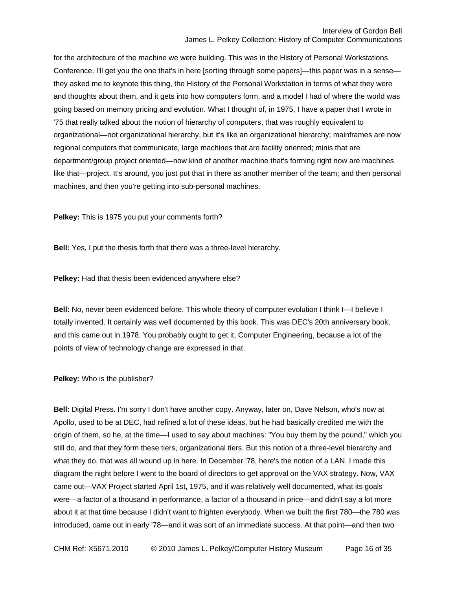for the architecture of the machine we were building. This was in the History of Personal Workstations Conference. I'll get you the one that's in here [sorting through some papers]—this paper was in a sense they asked me to keynote this thing, the History of the Personal Workstation in terms of what they were and thoughts about them, and it gets into how computers form, and a model I had of where the world was going based on memory pricing and evolution. What I thought of, in 1975, I have a paper that I wrote in '75 that really talked about the notion of hierarchy of computers, that was roughly equivalent to organizational—not organizational hierarchy, but it's like an organizational hierarchy; mainframes are now regional computers that communicate, large machines that are facility oriented; minis that are department/group project oriented—now kind of another machine that's forming right now are machines like that—project. It's around, you just put that in there as another member of the team; and then personal machines, and then you're getting into sub-personal machines.

**Pelkey:** This is 1975 you put your comments forth?

**Bell:** Yes, I put the thesis forth that there was a three-level hierarchy.

**Pelkey:** Had that thesis been evidenced anywhere else?

**Bell:** No, never been evidenced before. This whole theory of computer evolution I think I—I believe I totally invented. It certainly was well documented by this book. This was DEC's 20th anniversary book, and this came out in 1978. You probably ought to get it, Computer Engineering, because a lot of the points of view of technology change are expressed in that.

**Pelkey:** Who is the publisher?

**Bell:** Digital Press. I'm sorry I don't have another copy. Anyway, later on, Dave Nelson, who's now at Apollo, used to be at DEC, had refined a lot of these ideas, but he had basically credited me with the origin of them, so he, at the time—I used to say about machines: "You buy them by the pound," which you still do, and that they form these tiers, organizational tiers. But this notion of a three-level hierarchy and what they do, that was all wound up in here. In December '78, here's the notion of a LAN. I made this diagram the night before I went to the board of directors to get approval on the VAX strategy. Now, VAX came out—VAX Project started April 1st, 1975, and it was relatively well documented, what its goals were—a factor of a thousand in performance, a factor of a thousand in price—and didn't say a lot more about it at that time because I didn't want to frighten everybody. When we built the first 780—the 780 was introduced, came out in early '78—and it was sort of an immediate success. At that point—and then two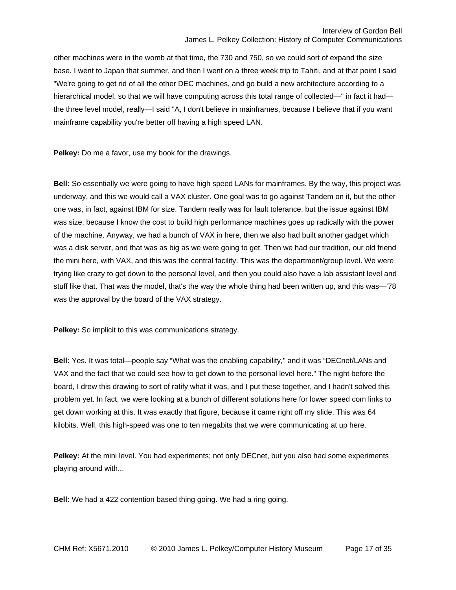other machines were in the womb at that time, the 730 and 750, so we could sort of expand the size base. I went to Japan that summer, and then I went on a three week trip to Tahiti, and at that point I said "We're going to get rid of all the other DEC machines, and go build a new architecture according to a hierarchical model, so that we will have computing across this total range of collected—" in fact it had the three level model, really—I said "A, I don't believe in mainframes, because I believe that if you want mainframe capability you're better off having a high speed LAN.

**Pelkey:** Do me a favor, use my book for the drawings.

**Bell:** So essentially we were going to have high speed LANs for mainframes. By the way, this project was underway, and this we would call a VAX cluster. One goal was to go against Tandem on it, but the other one was, in fact, against IBM for size. Tandem really was for fault tolerance, but the issue against IBM was size, because I know the cost to build high performance machines goes up radically with the power of the machine. Anyway, we had a bunch of VAX in here, then we also had built another gadget which was a disk server, and that was as big as we were going to get. Then we had our tradition, our old friend the mini here, with VAX, and this was the central facility. This was the department/group level. We were trying like crazy to get down to the personal level, and then you could also have a lab assistant level and stuff like that. That was the model, that's the way the whole thing had been written up, and this was—'78 was the approval by the board of the VAX strategy.

**Pelkey:** So implicit to this was communications strategy.

**Bell:** Yes. It was total—people say "What was the enabling capability," and it was "DECnet/LANs and VAX and the fact that we could see how to get down to the personal level here." The night before the board, I drew this drawing to sort of ratify what it was, and I put these together, and I hadn't solved this problem yet. In fact, we were looking at a bunch of different solutions here for lower speed com links to get down working at this. It was exactly that figure, because it came right off my slide. This was 64 kilobits. Well, this high-speed was one to ten megabits that we were communicating at up here.

**Pelkey:** At the mini level. You had experiments; not only DECnet, but you also had some experiments playing around with...

**Bell:** We had a 422 contention based thing going. We had a ring going.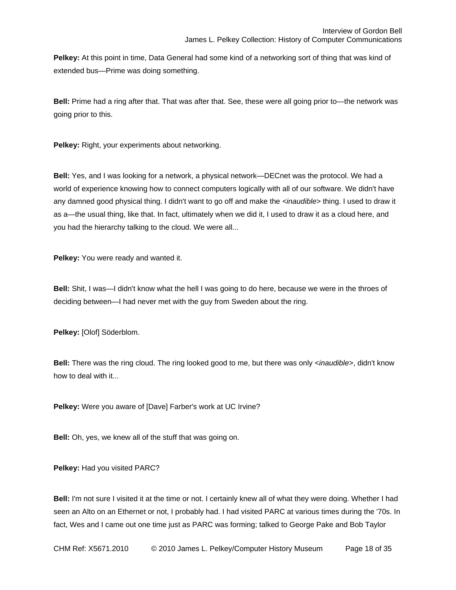Pelkey: At this point in time, Data General had some kind of a networking sort of thing that was kind of extended bus—Prime was doing something.

**Bell:** Prime had a ring after that. That was after that. See, these were all going prior to—the network was going prior to this.

**Pelkey:** Right, your experiments about networking.

**Bell:** Yes, and I was looking for a network, a physical network—DECnet was the protocol. We had a world of experience knowing how to connect computers logically with all of our software. We didn't have any damned good physical thing. I didn't want to go off and make the *<inaudible>* thing. I used to draw it as a—the usual thing, like that. In fact, ultimately when we did it, I used to draw it as a cloud here, and you had the hierarchy talking to the cloud. We were all...

**Pelkey:** You were ready and wanted it.

**Bell:** Shit, I was—I didn't know what the hell I was going to do here, because we were in the throes of deciding between—I had never met with the guy from Sweden about the ring.

**Pelkey:** [Olof] Söderblom.

**Bell:** There was the ring cloud. The ring looked good to me, but there was only *<inaudible>*, didn't know how to deal with it...

**Pelkey:** Were you aware of [Dave] Farber's work at UC Irvine?

**Bell:** Oh, yes, we knew all of the stuff that was going on.

**Pelkey:** Had you visited PARC?

**Bell:** I'm not sure I visited it at the time or not. I certainly knew all of what they were doing. Whether I had seen an Alto on an Ethernet or not, I probably had. I had visited PARC at various times during the '70s. In fact, Wes and I came out one time just as PARC was forming; talked to George Pake and Bob Taylor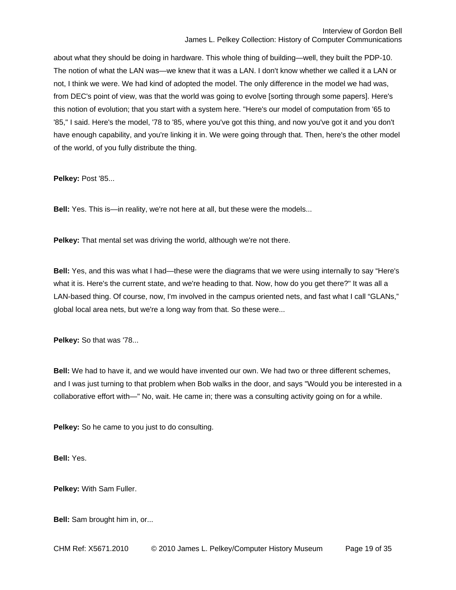about what they should be doing in hardware. This whole thing of building—well, they built the PDP-10. The notion of what the LAN was—we knew that it was a LAN. I don't know whether we called it a LAN or not, I think we were. We had kind of adopted the model. The only difference in the model we had was, from DEC's point of view, was that the world was going to evolve [sorting through some papers]. Here's this notion of evolution; that you start with a system here. "Here's our model of computation from '65 to '85," I said. Here's the model, '78 to '85, where you've got this thing, and now you've got it and you don't have enough capability, and you're linking it in. We were going through that. Then, here's the other model of the world, of you fully distribute the thing.

**Pelkey:** Post '85...

**Bell:** Yes. This is—in reality, we're not here at all, but these were the models...

**Pelkey:** That mental set was driving the world, although we're not there.

**Bell:** Yes, and this was what I had—these were the diagrams that we were using internally to say "Here's what it is. Here's the current state, and we're heading to that. Now, how do you get there?" It was all a LAN-based thing. Of course, now, I'm involved in the campus oriented nets, and fast what I call "GLANs," global local area nets, but we're a long way from that. So these were...

**Pelkey:** So that was '78...

**Bell:** We had to have it, and we would have invented our own. We had two or three different schemes, and I was just turning to that problem when Bob walks in the door, and says "Would you be interested in a collaborative effort with—" No, wait. He came in; there was a consulting activity going on for a while.

**Pelkey:** So he came to you just to do consulting.

**Bell:** Yes.

**Pelkey:** With Sam Fuller.

**Bell:** Sam brought him in, or...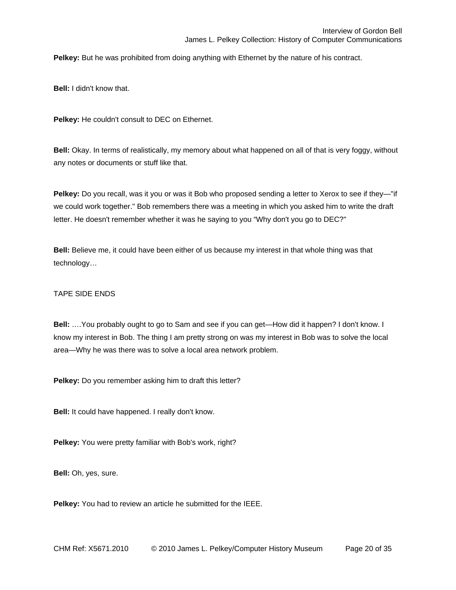**Pelkey:** But he was prohibited from doing anything with Ethernet by the nature of his contract.

**Bell:** I didn't know that.

**Pelkey:** He couldn't consult to DEC on Ethernet.

**Bell:** Okay. In terms of realistically, my memory about what happened on all of that is very foggy, without any notes or documents or stuff like that.

**Pelkey:** Do you recall, was it you or was it Bob who proposed sending a letter to Xerox to see if they—"if we could work together." Bob remembers there was a meeting in which you asked him to write the draft letter. He doesn't remember whether it was he saying to you "Why don't you go to DEC?"

**Bell:** Believe me, it could have been either of us because my interest in that whole thing was that technology…

## TAPE SIDE ENDS

**Bell:** ….You probably ought to go to Sam and see if you can get—How did it happen? I don't know. I know my interest in Bob. The thing I am pretty strong on was my interest in Bob was to solve the local area—Why he was there was to solve a local area network problem.

**Pelkey:** Do you remember asking him to draft this letter?

**Bell:** It could have happened. I really don't know.

**Pelkey:** You were pretty familiar with Bob's work, right?

**Bell:** Oh, yes, sure.

**Pelkey:** You had to review an article he submitted for the IEEE.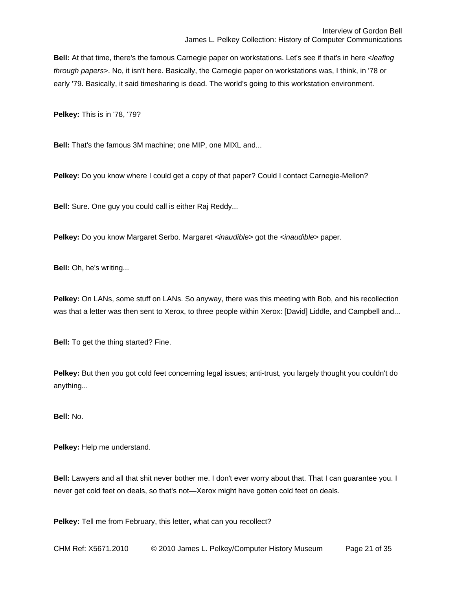**Bell:** At that time, there's the famous Carnegie paper on workstations. Let's see if that's in here <*leafing through papers*>. No, it isn't here. Basically, the Carnegie paper on workstations was, I think, in '78 or early '79. Basically, it said timesharing is dead. The world's going to this workstation environment.

**Pelkey:** This is in '78, '79?

**Bell:** That's the famous 3M machine; one MIP, one MIXL and...

**Pelkey:** Do you know where I could get a copy of that paper? Could I contact Carnegie-Mellon?

**Bell:** Sure. One guy you could call is either Raj Reddy...

**Pelkey:** Do you know Margaret Serbo. Margaret *<inaudible>* got the *<inaudible>* paper.

**Bell:** Oh, he's writing...

**Pelkey:** On LANs, some stuff on LANs. So anyway, there was this meeting with Bob, and his recollection was that a letter was then sent to Xerox, to three people within Xerox: [David] Liddle, and Campbell and...

**Bell:** To get the thing started? Fine.

**Pelkey:** But then you got cold feet concerning legal issues; anti-trust, you largely thought you couldn't do anything...

**Bell:** No.

**Pelkey:** Help me understand.

**Bell:** Lawyers and all that shit never bother me. I don't ever worry about that. That I can guarantee you. I never get cold feet on deals, so that's not—Xerox might have gotten cold feet on deals.

**Pelkey:** Tell me from February, this letter, what can you recollect?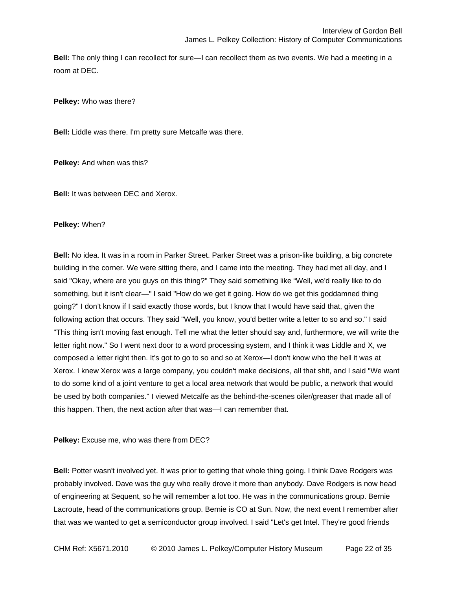**Bell:** The only thing I can recollect for sure—I can recollect them as two events. We had a meeting in a room at DEC.

**Pelkey:** Who was there?

**Bell:** Liddle was there. I'm pretty sure Metcalfe was there.

**Pelkey:** And when was this?

**Bell:** It was between DEC and Xerox.

### **Pelkey:** When?

**Bell:** No idea. It was in a room in Parker Street. Parker Street was a prison-like building, a big concrete building in the corner. We were sitting there, and I came into the meeting. They had met all day, and I said "Okay, where are you guys on this thing?" They said something like "Well, we'd really like to do something, but it isn't clear—" I said "How do we get it going. How do we get this goddamned thing going?" I don't know if I said exactly those words, but I know that I would have said that, given the following action that occurs. They said "Well, you know, you'd better write a letter to so and so." I said "This thing isn't moving fast enough. Tell me what the letter should say and, furthermore, we will write the letter right now." So I went next door to a word processing system, and I think it was Liddle and X, we composed a letter right then. It's got to go to so and so at Xerox—I don't know who the hell it was at Xerox. I knew Xerox was a large company, you couldn't make decisions, all that shit, and I said "We want to do some kind of a joint venture to get a local area network that would be public, a network that would be used by both companies." I viewed Metcalfe as the behind-the-scenes oiler/greaser that made all of this happen. Then, the next action after that was—I can remember that.

**Pelkey:** Excuse me, who was there from DEC?

**Bell:** Potter wasn't involved yet. It was prior to getting that whole thing going. I think Dave Rodgers was probably involved. Dave was the guy who really drove it more than anybody. Dave Rodgers is now head of engineering at Sequent, so he will remember a lot too. He was in the communications group. Bernie Lacroute, head of the communications group. Bernie is CO at Sun. Now, the next event I remember after that was we wanted to get a semiconductor group involved. I said "Let's get Intel. They're good friends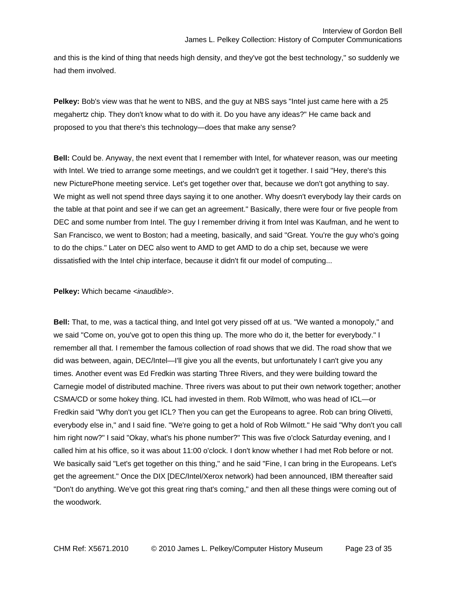and this is the kind of thing that needs high density, and they've got the best technology," so suddenly we had them involved.

**Pelkey:** Bob's view was that he went to NBS, and the guy at NBS says "Intel just came here with a 25 megahertz chip. They don't know what to do with it. Do you have any ideas?" He came back and proposed to you that there's this technology—does that make any sense?

**Bell:** Could be. Anyway, the next event that I remember with Intel, for whatever reason, was our meeting with Intel. We tried to arrange some meetings, and we couldn't get it together. I said "Hey, there's this new PicturePhone meeting service. Let's get together over that, because we don't got anything to say. We might as well not spend three days saying it to one another. Why doesn't everybody lay their cards on the table at that point and see if we can get an agreement." Basically, there were four or five people from DEC and some number from Intel. The guy I remember driving it from Intel was Kaufman, and he went to San Francisco, we went to Boston; had a meeting, basically, and said "Great. You're the guy who's going to do the chips." Later on DEC also went to AMD to get AMD to do a chip set, because we were dissatisfied with the Intel chip interface, because it didn't fit our model of computing...

**Pelkey:** Which became *<inaudible>*.

**Bell:** That, to me, was a tactical thing, and Intel got very pissed off at us. "We wanted a monopoly," and we said "Come on, you've got to open this thing up. The more who do it, the better for everybody." I remember all that. I remember the famous collection of road shows that we did. The road show that we did was between, again, DEC/Intel—I'll give you all the events, but unfortunately I can't give you any times. Another event was Ed Fredkin was starting Three Rivers, and they were building toward the Carnegie model of distributed machine. Three rivers was about to put their own network together; another CSMA/CD or some hokey thing. ICL had invested in them. Rob Wilmott, who was head of ICL—or Fredkin said "Why don't you get ICL? Then you can get the Europeans to agree. Rob can bring Olivetti, everybody else in," and I said fine. "We're going to get a hold of Rob Wilmott." He said "Why don't you call him right now?" I said "Okay, what's his phone number?" This was five o'clock Saturday evening, and I called him at his office, so it was about 11:00 o'clock. I don't know whether I had met Rob before or not. We basically said "Let's get together on this thing," and he said "Fine, I can bring in the Europeans. Let's get the agreement." Once the DIX [DEC/Intel/Xerox network) had been announced, IBM thereafter said "Don't do anything. We've got this great ring that's coming," and then all these things were coming out of the woodwork.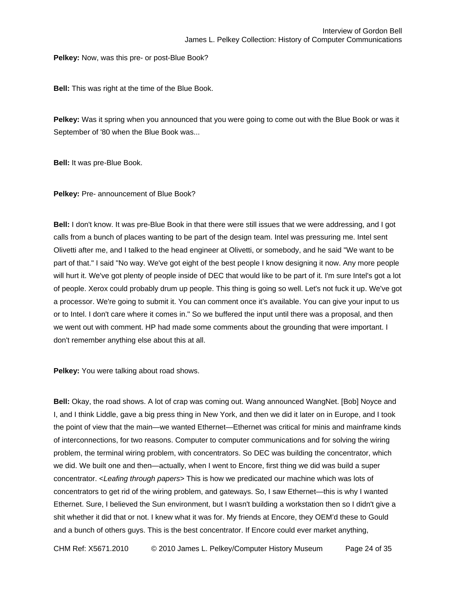**Pelkey:** Now, was this pre- or post-Blue Book?

**Bell:** This was right at the time of the Blue Book.

**Pelkey:** Was it spring when you announced that you were going to come out with the Blue Book or was it September of '80 when the Blue Book was...

**Bell:** It was pre-Blue Book.

**Pelkey:** Pre- announcement of Blue Book?

**Bell:** I don't know. It was pre-Blue Book in that there were still issues that we were addressing, and I got calls from a bunch of places wanting to be part of the design team. Intel was pressuring me. Intel sent Olivetti after me, and I talked to the head engineer at Olivetti, or somebody, and he said "We want to be part of that." I said "No way. We've got eight of the best people I know designing it now. Any more people will hurt it. We've got plenty of people inside of DEC that would like to be part of it. I'm sure Intel's got a lot of people. Xerox could probably drum up people. This thing is going so well. Let's not fuck it up. We've got a processor. We're going to submit it. You can comment once it's available. You can give your input to us or to Intel. I don't care where it comes in." So we buffered the input until there was a proposal, and then we went out with comment. HP had made some comments about the grounding that were important. I don't remember anything else about this at all.

**Pelkey:** You were talking about road shows.

**Bell:** Okay, the road shows. A lot of crap was coming out. Wang announced WangNet. [Bob] Noyce and I, and I think Liddle, gave a big press thing in New York, and then we did it later on in Europe, and I took the point of view that the main—we wanted Ethernet—Ethernet was critical for minis and mainframe kinds of interconnections, for two reasons. Computer to computer communications and for solving the wiring problem, the terminal wiring problem, with concentrators. So DEC was building the concentrator, which we did. We built one and then—actually, when I went to Encore, first thing we did was build a super concentrator. <*Leafing through papers*> This is how we predicated our machine which was lots of concentrators to get rid of the wiring problem, and gateways. So, I saw Ethernet—this is why I wanted Ethernet. Sure, I believed the Sun environment, but I wasn't building a workstation then so I didn't give a shit whether it did that or not. I knew what it was for. My friends at Encore, they OEM'd these to Gould and a bunch of others guys. This is the best concentrator. If Encore could ever market anything,

CHM Ref: X5671.2010 © 2010 James L. Pelkey/Computer History Museum Page 24 of 35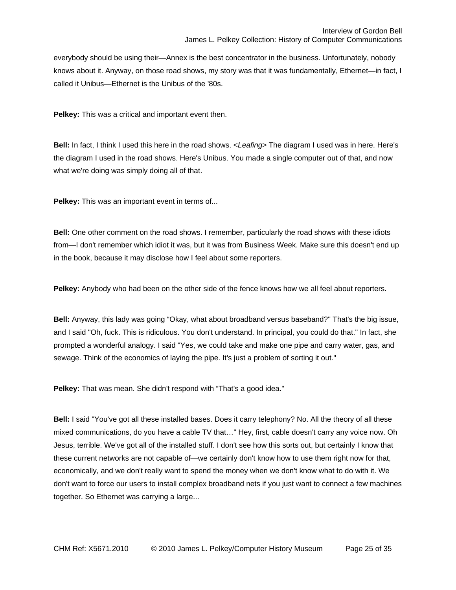everybody should be using their—Annex is the best concentrator in the business. Unfortunately, nobody knows about it. Anyway, on those road shows, my story was that it was fundamentally, Ethernet—in fact, I called it Unibus—Ethernet is the Unibus of the '80s.

**Pelkey:** This was a critical and important event then.

**Bell:** In fact, I think I used this here in the road shows. <*Leafing*> The diagram I used was in here. Here's the diagram I used in the road shows. Here's Unibus. You made a single computer out of that, and now what we're doing was simply doing all of that.

**Pelkey:** This was an important event in terms of...

**Bell:** One other comment on the road shows. I remember, particularly the road shows with these idiots from—I don't remember which idiot it was, but it was from Business Week. Make sure this doesn't end up in the book, because it may disclose how I feel about some reporters.

**Pelkey:** Anybody who had been on the other side of the fence knows how we all feel about reporters.

**Bell:** Anyway, this lady was going "Okay, what about broadband versus baseband?" That's the big issue, and I said "Oh, fuck. This is ridiculous. You don't understand. In principal, you could do that." In fact, she prompted a wonderful analogy. I said "Yes, we could take and make one pipe and carry water, gas, and sewage. Think of the economics of laying the pipe. It's just a problem of sorting it out."

**Pelkey:** That was mean. She didn't respond with "That's a good idea."

**Bell:** I said "You've got all these installed bases. Does it carry telephony? No. All the theory of all these mixed communications, do you have a cable TV that…" Hey, first, cable doesn't carry any voice now. Oh Jesus, terrible. We've got all of the installed stuff. I don't see how this sorts out, but certainly I know that these current networks are not capable of—we certainly don't know how to use them right now for that, economically, and we don't really want to spend the money when we don't know what to do with it. We don't want to force our users to install complex broadband nets if you just want to connect a few machines together. So Ethernet was carrying a large...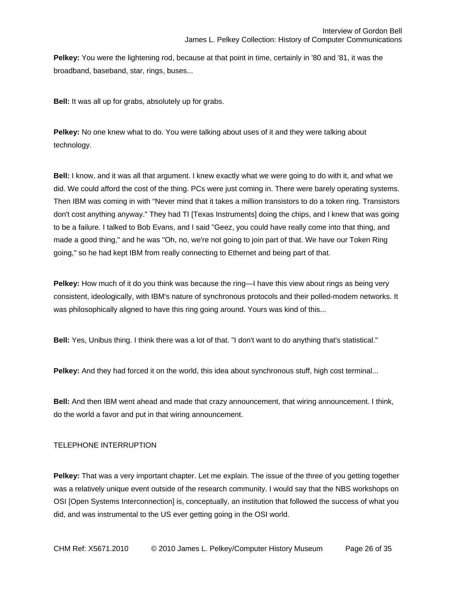**Pelkey:** You were the lightening rod, because at that point in time, certainly in '80 and '81, it was the broadband, baseband, star, rings, buses...

**Bell:** It was all up for grabs, absolutely up for grabs.

**Pelkey:** No one knew what to do. You were talking about uses of it and they were talking about technology.

**Bell:** I know, and it was all that argument. I knew exactly what we were going to do with it, and what we did. We could afford the cost of the thing. PCs were just coming in. There were barely operating systems. Then IBM was coming in with "Never mind that it takes a million transistors to do a token ring. Transistors don't cost anything anyway." They had TI [Texas Instruments] doing the chips, and I knew that was going to be a failure. I talked to Bob Evans, and I said "Geez, you could have really come into that thing, and made a good thing," and he was "Oh, no, we're not going to join part of that. We have our Token Ring going," so he had kept IBM from really connecting to Ethernet and being part of that.

**Pelkey:** How much of it do you think was because the ring—I have this view about rings as being very consistent, ideologically, with IBM's nature of synchronous protocols and their polled-modem networks. It was philosophically aligned to have this ring going around. Yours was kind of this...

**Bell:** Yes, Unibus thing. I think there was a lot of that. "I don't want to do anything that's statistical."

**Pelkey:** And they had forced it on the world, this idea about synchronous stuff, high cost terminal...

**Bell:** And then IBM went ahead and made that crazy announcement, that wiring announcement. I think, do the world a favor and put in that wiring announcement.

# TELEPHONE INTERRUPTION

**Pelkey:** That was a very important chapter. Let me explain. The issue of the three of you getting together was a relatively unique event outside of the research community. I would say that the NBS workshops on OSI [Open Systems Interconnection] is, conceptually, an institution that followed the success of what you did, and was instrumental to the US ever getting going in the OSI world.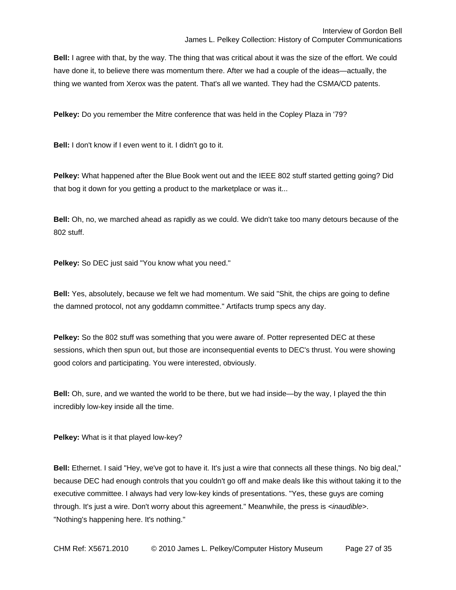**Bell:** I agree with that, by the way. The thing that was critical about it was the size of the effort. We could have done it, to believe there was momentum there. After we had a couple of the ideas—actually, the thing we wanted from Xerox was the patent. That's all we wanted. They had the CSMA/CD patents.

**Pelkey:** Do you remember the Mitre conference that was held in the Copley Plaza in '79?

**Bell:** I don't know if I even went to it. I didn't go to it.

**Pelkey:** What happened after the Blue Book went out and the IEEE 802 stuff started getting going? Did that bog it down for you getting a product to the marketplace or was it...

**Bell:** Oh, no, we marched ahead as rapidly as we could. We didn't take too many detours because of the 802 stuff.

**Pelkey:** So DEC just said "You know what you need."

**Bell:** Yes, absolutely, because we felt we had momentum. We said "Shit, the chips are going to define the damned protocol, not any goddamn committee." Artifacts trump specs any day.

**Pelkey:** So the 802 stuff was something that you were aware of. Potter represented DEC at these sessions, which then spun out, but those are inconsequential events to DEC's thrust. You were showing good colors and participating. You were interested, obviously.

**Bell:** Oh, sure, and we wanted the world to be there, but we had inside—by the way, I played the thin incredibly low-key inside all the time.

**Pelkey:** What is it that played low-key?

**Bell:** Ethernet. I said "Hey, we've got to have it. It's just a wire that connects all these things. No big deal," because DEC had enough controls that you couldn't go off and make deals like this without taking it to the executive committee. I always had very low-key kinds of presentations. "Yes, these guys are coming through. It's just a wire. Don't worry about this agreement." Meanwhile, the press is *<inaudible>*. "Nothing's happening here. It's nothing."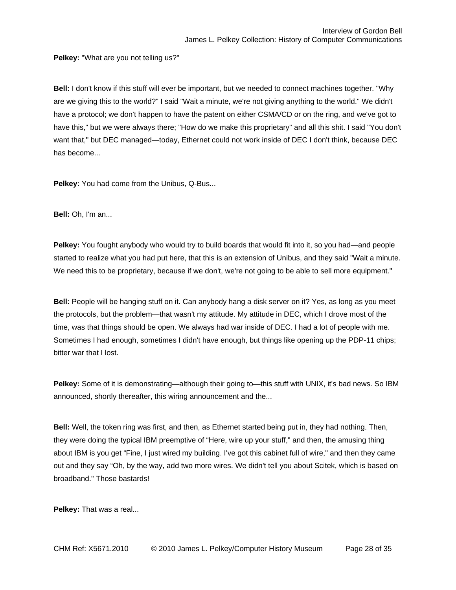**Pelkey:** "What are you not telling us?"

**Bell:** I don't know if this stuff will ever be important, but we needed to connect machines together. "Why are we giving this to the world?" I said "Wait a minute, we're not giving anything to the world." We didn't have a protocol; we don't happen to have the patent on either CSMA/CD or on the ring, and we've got to have this," but we were always there; "How do we make this proprietary" and all this shit. I said "You don't want that," but DEC managed—today, Ethernet could not work inside of DEC I don't think, because DEC has become...

**Pelkey:** You had come from the Unibus, Q-Bus...

**Bell:** Oh, I'm an...

**Pelkey:** You fought anybody who would try to build boards that would fit into it, so you had—and people started to realize what you had put here, that this is an extension of Unibus, and they said "Wait a minute. We need this to be proprietary, because if we don't, we're not going to be able to sell more equipment."

**Bell:** People will be hanging stuff on it. Can anybody hang a disk server on it? Yes, as long as you meet the protocols, but the problem—that wasn't my attitude. My attitude in DEC, which I drove most of the time, was that things should be open. We always had war inside of DEC. I had a lot of people with me. Sometimes I had enough, sometimes I didn't have enough, but things like opening up the PDP-11 chips; bitter war that I lost.

**Pelkey:** Some of it is demonstrating—although their going to—this stuff with UNIX, it's bad news. So IBM announced, shortly thereafter, this wiring announcement and the...

**Bell:** Well, the token ring was first, and then, as Ethernet started being put in, they had nothing. Then, they were doing the typical IBM preemptive of "Here, wire up your stuff," and then, the amusing thing about IBM is you get "Fine, I just wired my building. I've got this cabinet full of wire," and then they came out and they say "Oh, by the way, add two more wires. We didn't tell you about Scitek, which is based on broadband." Those bastards!

**Pelkey:** That was a real...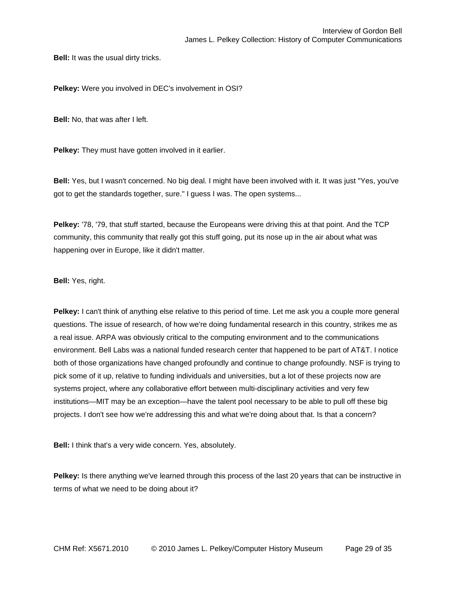**Bell:** It was the usual dirty tricks.

**Pelkey:** Were you involved in DEC's involvement in OSI?

**Bell:** No, that was after I left.

**Pelkey:** They must have gotten involved in it earlier.

**Bell:** Yes, but I wasn't concerned. No big deal. I might have been involved with it. It was just "Yes, you've got to get the standards together, sure." I guess I was. The open systems...

**Pelkey:** '78, '79, that stuff started, because the Europeans were driving this at that point. And the TCP community, this community that really got this stuff going, put its nose up in the air about what was happening over in Europe, like it didn't matter.

**Bell:** Yes, right.

**Pelkey:** I can't think of anything else relative to this period of time. Let me ask you a couple more general questions. The issue of research, of how we're doing fundamental research in this country, strikes me as a real issue. ARPA was obviously critical to the computing environment and to the communications environment. Bell Labs was a national funded research center that happened to be part of AT&T. I notice both of those organizations have changed profoundly and continue to change profoundly. NSF is trying to pick some of it up, relative to funding individuals and universities, but a lot of these projects now are systems project, where any collaborative effort between multi-disciplinary activities and very few institutions—MIT may be an exception—have the talent pool necessary to be able to pull off these big projects. I don't see how we're addressing this and what we're doing about that. Is that a concern?

**Bell:** I think that's a very wide concern. Yes, absolutely.

**Pelkey:** Is there anything we've learned through this process of the last 20 years that can be instructive in terms of what we need to be doing about it?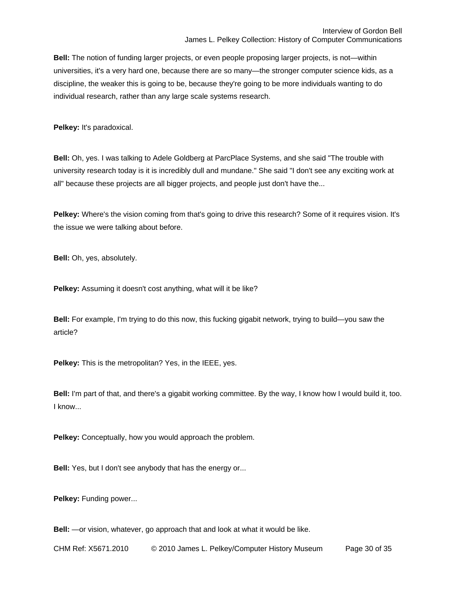**Bell:** The notion of funding larger projects, or even people proposing larger projects, is not—within universities, it's a very hard one, because there are so many—the stronger computer science kids, as a discipline, the weaker this is going to be, because they're going to be more individuals wanting to do individual research, rather than any large scale systems research.

**Pelkey:** It's paradoxical.

**Bell:** Oh, yes. I was talking to Adele Goldberg at ParcPlace Systems, and she said "The trouble with university research today is it is incredibly dull and mundane." She said "I don't see any exciting work at all" because these projects are all bigger projects, and people just don't have the...

**Pelkey:** Where's the vision coming from that's going to drive this research? Some of it requires vision. It's the issue we were talking about before.

**Bell:** Oh, yes, absolutely.

**Pelkey:** Assuming it doesn't cost anything, what will it be like?

**Bell:** For example, I'm trying to do this now, this fucking gigabit network, trying to build—you saw the article?

**Pelkey:** This is the metropolitan? Yes, in the IEEE, yes.

**Bell:** I'm part of that, and there's a gigabit working committee. By the way, I know how I would build it, too. I know...

**Pelkey:** Conceptually, how you would approach the problem.

**Bell:** Yes, but I don't see anybody that has the energy or...

Pelkey: Funding power...

**Bell:** —or vision, whatever, go approach that and look at what it would be like.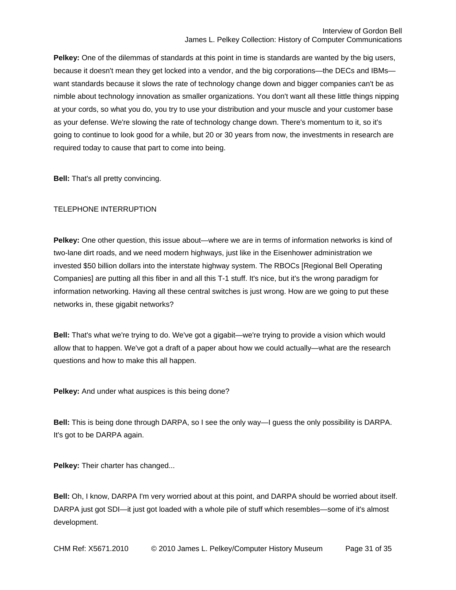**Pelkey:** One of the dilemmas of standards at this point in time is standards are wanted by the big users, because it doesn't mean they get locked into a vendor, and the big corporations—the DECs and IBMs want standards because it slows the rate of technology change down and bigger companies can't be as nimble about technology innovation as smaller organizations. You don't want all these little things nipping at your cords, so what you do, you try to use your distribution and your muscle and your customer base as your defense. We're slowing the rate of technology change down. There's momentum to it, so it's going to continue to look good for a while, but 20 or 30 years from now, the investments in research are required today to cause that part to come into being.

**Bell:** That's all pretty convincing.

## TELEPHONE INTERRUPTION

**Pelkey:** One other question, this issue about—where we are in terms of information networks is kind of two-lane dirt roads, and we need modern highways, just like in the Eisenhower administration we invested \$50 billion dollars into the interstate highway system. The RBOCs [Regional Bell Operating Companies] are putting all this fiber in and all this T-1 stuff. It's nice, but it's the wrong paradigm for information networking. Having all these central switches is just wrong. How are we going to put these networks in, these gigabit networks?

**Bell:** That's what we're trying to do. We've got a gigabit—we're trying to provide a vision which would allow that to happen. We've got a draft of a paper about how we could actually—what are the research questions and how to make this all happen.

**Pelkey:** And under what auspices is this being done?

**Bell:** This is being done through DARPA, so I see the only way—I guess the only possibility is DARPA. It's got to be DARPA again.

**Pelkey:** Their charter has changed...

**Bell:** Oh, I know, DARPA I'm very worried about at this point, and DARPA should be worried about itself. DARPA just got SDI—it just got loaded with a whole pile of stuff which resembles—some of it's almost development.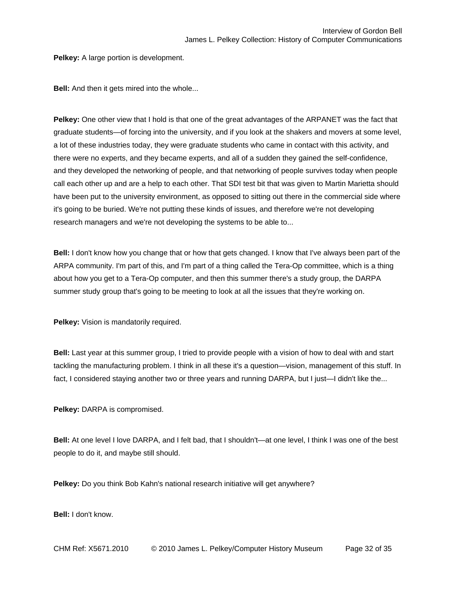**Pelkey:** A large portion is development.

**Bell:** And then it gets mired into the whole...

**Pelkey:** One other view that I hold is that one of the great advantages of the ARPANET was the fact that graduate students—of forcing into the university, and if you look at the shakers and movers at some level, a lot of these industries today, they were graduate students who came in contact with this activity, and there were no experts, and they became experts, and all of a sudden they gained the self-confidence, and they developed the networking of people, and that networking of people survives today when people call each other up and are a help to each other. That SDI test bit that was given to Martin Marietta should have been put to the university environment, as opposed to sitting out there in the commercial side where it's going to be buried. We're not putting these kinds of issues, and therefore we're not developing research managers and we're not developing the systems to be able to...

**Bell:** I don't know how you change that or how that gets changed. I know that I've always been part of the ARPA community. I'm part of this, and I'm part of a thing called the Tera-Op committee, which is a thing about how you get to a Tera-Op computer, and then this summer there's a study group, the DARPA summer study group that's going to be meeting to look at all the issues that they're working on.

**Pelkey:** Vision is mandatorily required.

**Bell:** Last year at this summer group, I tried to provide people with a vision of how to deal with and start tackling the manufacturing problem. I think in all these it's a question—vision, management of this stuff. In fact, I considered staying another two or three years and running DARPA, but I just—I didn't like the...

**Pelkey:** DARPA is compromised.

**Bell:** At one level I love DARPA, and I felt bad, that I shouldn't—at one level, I think I was one of the best people to do it, and maybe still should.

**Pelkey:** Do you think Bob Kahn's national research initiative will get anywhere?

**Bell:** I don't know.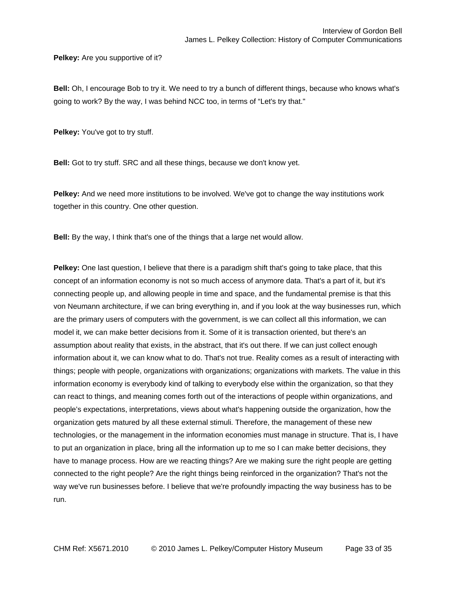**Pelkey:** Are you supportive of it?

**Bell:** Oh, I encourage Bob to try it. We need to try a bunch of different things, because who knows what's going to work? By the way, I was behind NCC too, in terms of "Let's try that."

**Pelkey:** You've got to try stuff.

**Bell:** Got to try stuff. SRC and all these things, because we don't know yet.

**Pelkey:** And we need more institutions to be involved. We've got to change the way institutions work together in this country. One other question.

**Bell:** By the way, I think that's one of the things that a large net would allow.

**Pelkey:** One last question, I believe that there is a paradigm shift that's going to take place, that this concept of an information economy is not so much access of anymore data. That's a part of it, but it's connecting people up, and allowing people in time and space, and the fundamental premise is that this von Neumann architecture, if we can bring everything in, and if you look at the way businesses run, which are the primary users of computers with the government, is we can collect all this information, we can model it, we can make better decisions from it. Some of it is transaction oriented, but there's an assumption about reality that exists, in the abstract, that it's out there. If we can just collect enough information about it, we can know what to do. That's not true. Reality comes as a result of interacting with things; people with people, organizations with organizations; organizations with markets. The value in this information economy is everybody kind of talking to everybody else within the organization, so that they can react to things, and meaning comes forth out of the interactions of people within organizations, and people's expectations, interpretations, views about what's happening outside the organization, how the organization gets matured by all these external stimuli. Therefore, the management of these new technologies, or the management in the information economies must manage in structure. That is, I have to put an organization in place, bring all the information up to me so I can make better decisions, they have to manage process. How are we reacting things? Are we making sure the right people are getting connected to the right people? Are the right things being reinforced in the organization? That's not the way we've run businesses before. I believe that we're profoundly impacting the way business has to be run.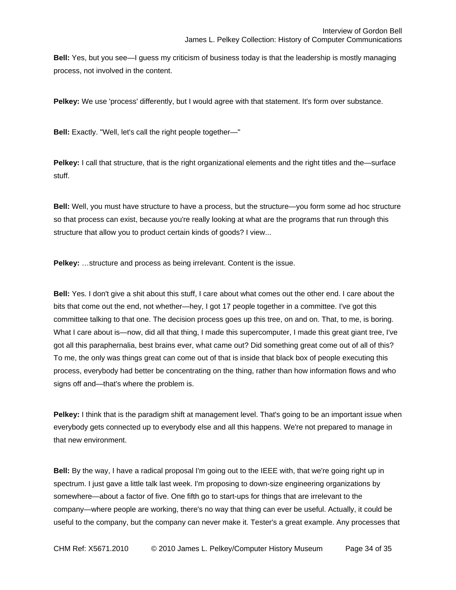**Bell:** Yes, but you see—I guess my criticism of business today is that the leadership is mostly managing process, not involved in the content.

**Pelkey:** We use 'process' differently, but I would agree with that statement. It's form over substance.

**Bell:** Exactly. "Well, let's call the right people together—"

**Pelkey:** I call that structure, that is the right organizational elements and the right titles and the—surface stuff.

**Bell:** Well, you must have structure to have a process, but the structure—you form some ad hoc structure so that process can exist, because you're really looking at what are the programs that run through this structure that allow you to product certain kinds of goods? I view...

**Pelkey:** ...structure and process as being irrelevant. Content is the issue.

**Bell:** Yes. I don't give a shit about this stuff, I care about what comes out the other end. I care about the bits that come out the end, not whether—hey, I got 17 people together in a committee. I've got this committee talking to that one. The decision process goes up this tree, on and on. That, to me, is boring. What I care about is—now, did all that thing, I made this supercomputer, I made this great giant tree, I've got all this paraphernalia, best brains ever, what came out? Did something great come out of all of this? To me, the only was things great can come out of that is inside that black box of people executing this process, everybody had better be concentrating on the thing, rather than how information flows and who signs off and—that's where the problem is.

**Pelkey:** I think that is the paradigm shift at management level. That's going to be an important issue when everybody gets connected up to everybody else and all this happens. We're not prepared to manage in that new environment.

**Bell:** By the way, I have a radical proposal I'm going out to the IEEE with, that we're going right up in spectrum. I just gave a little talk last week. I'm proposing to down-size engineering organizations by somewhere—about a factor of five. One fifth go to start-ups for things that are irrelevant to the company—where people are working, there's no way that thing can ever be useful. Actually, it could be useful to the company, but the company can never make it. Tester's a great example. Any processes that